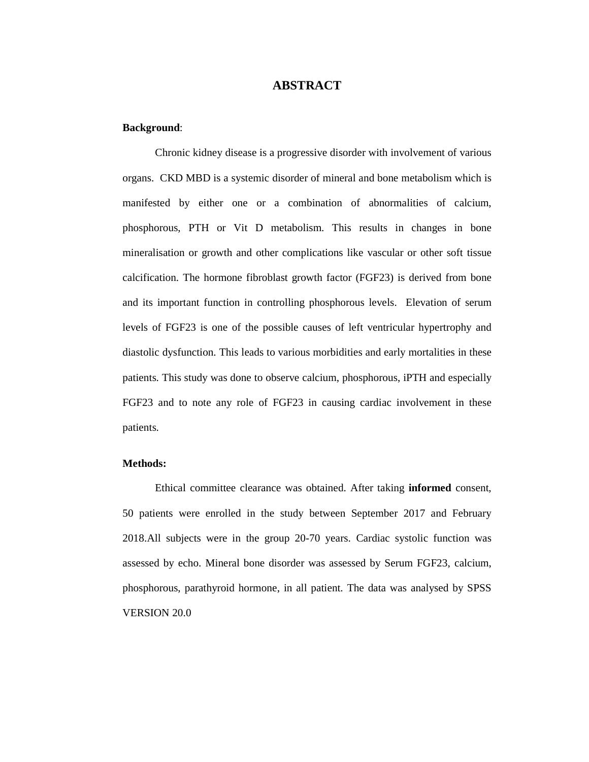# **ABSTRACT**

### **Background**:

Chronic kidney disease is a progressive disorder with involvement of various organs. CKD MBD is a systemic disorder of mineral and bone metabolism which is manifested by either one or a combination of abnormalities of calcium, phosphorous, PTH or Vit D metabolism. This results in changes in bone mineralisation or growth and other complications like vascular or other soft tissue calcification. The hormone fibroblast growth factor (FGF23) is derived from bone and its important function in controlling phosphorous levels. Elevation of serum levels of FGF23 is one of the possible causes of left ventricular hypertrophy and diastolic dysfunction. This leads to various morbidities and early mortalities in these patients. This study was done to observe calcium, phosphorous, iPTH and especially FGF23 and to note any role of FGF23 in causing cardiac involvement in these patients.

#### **Methods:**

Ethical committee clearance was obtained. After taking **informed** consent, 50 patients were enrolled in the study between September 2017 and February 2018.All subjects were in the group 20-70 years. Cardiac systolic function was assessed by echo. Mineral bone disorder was assessed by Serum FGF23, calcium, phosphorous, parathyroid hormone, in all patient. The data was analysed by SPSS VERSION 20.0